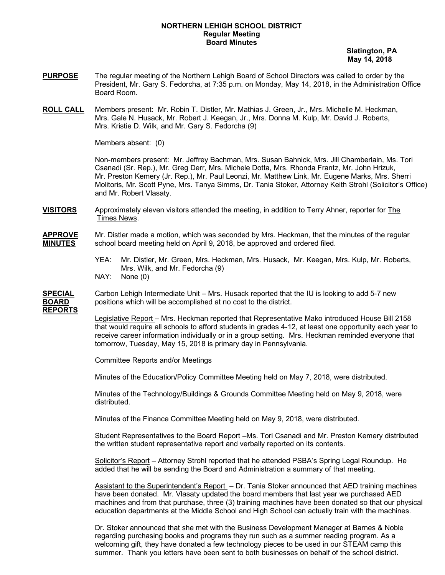## **NORTHERN LEHIGH SCHOOL DISTRICT Regular Meeting Board Minutes**

 **Slatington, PA May 14, 2018**

- **PURPOSE** The regular meeting of the Northern Lehigh Board of School Directors was called to order by the President, Mr. Gary S. Fedorcha, at 7:35 p.m. on Monday, May 14, 2018, in the Administration Office Board Room.
- **ROLL CALL** Members present: Mr. Robin T. Distler, Mr. Mathias J. Green, Jr., Mrs. Michelle M. Heckman, Mrs. Gale N. Husack, Mr. Robert J. Keegan, Jr., Mrs. Donna M. Kulp, Mr. David J. Roberts, Mrs. Kristie D. Wilk, and Mr. Gary S. Fedorcha (9)

Members absent: (0)

Non-members present: Mr. Jeffrey Bachman, Mrs. Susan Bahnick, Mrs. Jill Chamberlain, Ms. Tori Csanadi (Sr. Rep.), Mr. Greg Derr, Mrs. Michele Dotta, Mrs. Rhonda Frantz, Mr. John Hrizuk, Mr. Preston Kemery (Jr. Rep.), Mr. Paul Leonzi, Mr. Matthew Link, Mr. Eugene Marks, Mrs. Sherri Molitoris, Mr. Scott Pyne, Mrs. Tanya Simms, Dr. Tania Stoker, Attorney Keith Strohl (Solicitor's Office) and Mr. Robert Vlasaty.

- **VISITORS** Approximately eleven visitors attended the meeting, in addition to Terry Ahner, reporter for The Times News.
- **APPROVE** Mr. Distler made a motion, which was seconded by Mrs. Heckman, that the minutes of the regular **MINUTES** school board meeting held on April 9, 2018, be approved and ordered filed.
	- YEA: Mr. Distler, Mr. Green, Mrs. Heckman, Mrs. Husack, Mr. Keegan, Mrs. Kulp, Mr. Roberts, Mrs. Wilk, and Mr. Fedorcha (9)
	- NAY: None (0)

**SPECIAL** Carbon Lehigh Intermediate Unit – Mrs. Husack reported that the IU is looking to add 5-7 new **BOARD** positions which will be accomplished at no cost to the district.

**REPORTS**

Legislative Report - Mrs. Heckman reported that Representative Mako introduced House Bill 2158 that would require all schools to afford students in grades 4-12, at least one opportunity each year to receive career information individually or in a group setting. Mrs. Heckman reminded everyone that tomorrow, Tuesday, May 15, 2018 is primary day in Pennsylvania.

Committee Reports and/or Meetings

Minutes of the Education/Policy Committee Meeting held on May 7, 2018, were distributed.

Minutes of the Technology/Buildings & Grounds Committee Meeting held on May 9, 2018, were distributed.

Minutes of the Finance Committee Meeting held on May 9, 2018, were distributed.

Student Representatives to the Board Report –Ms. Tori Csanadi and Mr. Preston Kemery distributed the written student representative report and verbally reported on its contents.

Solicitor's Report – Attorney Strohl reported that he attended PSBA's Spring Legal Roundup. He added that he will be sending the Board and Administration a summary of that meeting.

Assistant to the Superintendent's Report - Dr. Tania Stoker announced that AED training machines have been donated. Mr. Vlasaty updated the board members that last year we purchased AED machines and from that purchase, three (3) training machines have been donated so that our physical education departments at the Middle School and High School can actually train with the machines.

Dr. Stoker announced that she met with the Business Development Manager at Barnes & Noble regarding purchasing books and programs they run such as a summer reading program. As a welcoming gift, they have donated a few technology pieces to be used in our STEAM camp this summer. Thank you letters have been sent to both businesses on behalf of the school district.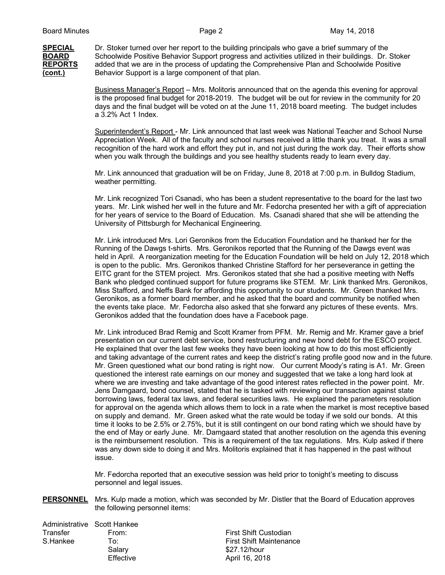**SPECIAL** Dr. Stoker turned over her report to the building principals who gave a brief summary of the **BOARD** Schoolwide Positive Behavior Support progress and activities utilized in their buildings. Dr. **BOARD** Schoolwide Positive Behavior Support progress and activities utilized in their buildings. Dr. Stoker<br>REPORTS added that we are in the process of updating the Comprehensive Plan and Schoolwide Positive added that we are in the process of updating the Comprehensive Plan and Schoolwide Positive (cont.) Behavior Support is a large component of that plan.

> Business Manager's Report – Mrs. Molitoris announced that on the agenda this evening for approval is the proposed final budget for 2018-2019. The budget will be out for review in the community for 20 days and the final budget will be voted on at the June 11, 2018 board meeting. The budget includes a 3.2% Act 1 Index.

Superintendent's Report - Mr. Link announced that last week was National Teacher and School Nurse Appreciation Week. All of the faculty and school nurses received a little thank you treat. It was a small recognition of the hard work and effort they put in, and not just during the work day. Their efforts show when you walk through the buildings and you see healthy students ready to learn every day.

Mr. Link announced that graduation will be on Friday, June 8, 2018 at 7:00 p.m. in Bulldog Stadium, weather permitting.

Mr. Link recognized Tori Csanadi, who has been a student representative to the board for the last two years. Mr. Link wished her well in the future and Mr. Fedorcha presented her with a gift of appreciation for her years of service to the Board of Education. Ms. Csanadi shared that she will be attending the University of Pittsburgh for Mechanical Engineering.

Mr. Link introduced Mrs. Lori Geronikos from the Education Foundation and he thanked her for the Running of the Dawgs t-shirts. Mrs. Geronikos reported that the Running of the Dawgs event was held in April. A reorganization meeting for the Education Foundation will be held on July 12, 2018 which is open to the public. Mrs. Geronikos thanked Christine Stafford for her perseverance in getting the EITC grant for the STEM project. Mrs. Geronikos stated that she had a positive meeting with Neffs Bank who pledged continued support for future programs like STEM. Mr. Link thanked Mrs. Geronikos, Miss Stafford, and Neffs Bank for affording this opportunity to our students. Mr. Green thanked Mrs. Geronikos, as a former board member, and he asked that the board and community be notified when the events take place. Mr. Fedorcha also asked that she forward any pictures of these events. Mrs. Geronikos added that the foundation does have a Facebook page.

Mr. Link introduced Brad Remig and Scott Kramer from PFM. Mr. Remig and Mr. Kramer gave a brief presentation on our current debt service, bond restructuring and new bond debt for the ESCO project. He explained that over the last few weeks they have been looking at how to do this most efficiently and taking advantage of the current rates and keep the district's rating profile good now and in the future. Mr. Green questioned what our bond rating is right now. Our current Moody's rating is A1. Mr. Green questioned the interest rate earnings on our money and suggested that we take a long hard look at where we are investing and take advantage of the good interest rates reflected in the power point. Mr. Jens Damgaard, bond counsel, stated that he is tasked with reviewing our transaction against state borrowing laws, federal tax laws, and federal securities laws. He explained the parameters resolution for approval on the agenda which allows them to lock in a rate when the market is most receptive based on supply and demand. Mr. Green asked what the rate would be today if we sold our bonds. At this time it looks to be 2.5% or 2.75%, but it is still contingent on our bond rating which we should have by the end of May or early June. Mr. Damgaard stated that another resolution on the agenda this evening is the reimbursement resolution. This is a requirement of the tax regulations. Mrs. Kulp asked if there was any down side to doing it and Mrs. Molitoris explained that it has happened in the past without issue.

Mr. Fedorcha reported that an executive session was held prior to tonight's meeting to discuss personnel and legal issues.

**PERSONNEL** Mrs. Kulp made a motion, which was seconded by Mr. Distler that the Board of Education approves the following personnel items:

Administrative Scott Hankee Transfer From: From: First Shift Custodian S.Hankee To: To: First Shift Maintenance

Salary \$27.12/hour Effective April 16, 2018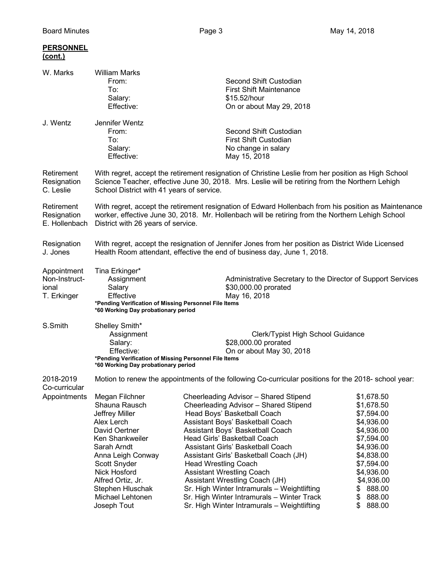| <b>PERSONNEL</b><br>(cont.)                          |                                                                                                                                                                                                                                                     |                                                                                                                                                                                                                                                                                                                                                                                                                                                                                                                                                       |                                                                                                                                                                                                        |
|------------------------------------------------------|-----------------------------------------------------------------------------------------------------------------------------------------------------------------------------------------------------------------------------------------------------|-------------------------------------------------------------------------------------------------------------------------------------------------------------------------------------------------------------------------------------------------------------------------------------------------------------------------------------------------------------------------------------------------------------------------------------------------------------------------------------------------------------------------------------------------------|--------------------------------------------------------------------------------------------------------------------------------------------------------------------------------------------------------|
| W. Marks                                             | <b>William Marks</b><br>From:<br>To:<br>Salary:<br>Effective:                                                                                                                                                                                       | Second Shift Custodian<br><b>First Shift Maintenance</b><br>\$15.52/hour<br>On or about May 29, 2018                                                                                                                                                                                                                                                                                                                                                                                                                                                  |                                                                                                                                                                                                        |
| J. Wentz                                             | Jennifer Wentz<br>From:<br>To:<br>Salary:<br>Effective:                                                                                                                                                                                             | Second Shift Custodian<br><b>First Shift Custodian</b><br>No change in salary<br>May 15, 2018                                                                                                                                                                                                                                                                                                                                                                                                                                                         |                                                                                                                                                                                                        |
| Retirement<br>Resignation<br>C. Leslie               | With regret, accept the retirement resignation of Christine Leslie from her position as High School<br>Science Teacher, effective June 30, 2018. Mrs. Leslie will be retiring from the Northern Lehigh<br>School District with 41 years of service. |                                                                                                                                                                                                                                                                                                                                                                                                                                                                                                                                                       |                                                                                                                                                                                                        |
| Retirement<br>Resignation<br>E. Hollenbach           | With regret, accept the retirement resignation of Edward Hollenbach from his position as Maintenance<br>worker, effective June 30, 2018. Mr. Hollenbach will be retiring from the Northern Lehigh School<br>District with 26 years of service.      |                                                                                                                                                                                                                                                                                                                                                                                                                                                                                                                                                       |                                                                                                                                                                                                        |
| Resignation<br>J. Jones                              | With regret, accept the resignation of Jennifer Jones from her position as District Wide Licensed<br>Health Room attendant, effective the end of business day, June 1, 2018.                                                                        |                                                                                                                                                                                                                                                                                                                                                                                                                                                                                                                                                       |                                                                                                                                                                                                        |
| Appointment<br>Non-Instruct-<br>ional<br>T. Erkinger | Tina Erkinger*<br>Assignment<br>Salary<br>Effective<br>*Pending Verification of Missing Personnel File Items<br>*60 Working Day probationary period                                                                                                 | Administrative Secretary to the Director of Support Services<br>\$30,000.00 prorated<br>May 16, 2018                                                                                                                                                                                                                                                                                                                                                                                                                                                  |                                                                                                                                                                                                        |
| S.Smith                                              | Shelley Smith*<br>Assignment<br>Clerk/Typist High School Guidance<br>\$28,000.00 prorated<br>Salary:<br>Effective:<br>On or about May 30, 2018<br>*Pending Verification of Missing Personnel File Items<br>*60 Working Day probationary period      |                                                                                                                                                                                                                                                                                                                                                                                                                                                                                                                                                       |                                                                                                                                                                                                        |
| 2018-2019<br>Co-curricular                           | Motion to renew the appointments of the following Co-curricular positions for the 2018- school year:                                                                                                                                                |                                                                                                                                                                                                                                                                                                                                                                                                                                                                                                                                                       |                                                                                                                                                                                                        |
| Appointments                                         | Megan Filchner<br>Shauna Rausch<br>Jeffrey Miller<br>Alex Lerch<br>David Oertner<br>Ken Shankweiler<br>Sarah Arndt<br>Anna Leigh Conway<br>Scott Snyder<br>Nick Hosford<br>Alfred Ortiz, Jr.<br>Stephen Hluschak<br>Michael Lehtonen<br>Joseph Tout | Cheerleading Advisor - Shared Stipend<br>Cheerleading Advisor - Shared Stipend<br>Head Boys' Basketball Coach<br>Assistant Boys' Basketball Coach<br>Assistant Boys' Basketball Coach<br>Head Girls' Basketball Coach<br>Assistant Girls' Basketball Coach<br>Assistant Girls' Basketball Coach (JH)<br><b>Head Wrestling Coach</b><br><b>Assistant Wrestling Coach</b><br>Assistant Wrestling Coach (JH)<br>Sr. High Winter Intramurals - Weightlifting<br>Sr. High Winter Intramurals - Winter Track<br>Sr. High Winter Intramurals - Weightlifting | \$1,678.50<br>\$1,678.50<br>\$7,594.00<br>\$4,936.00<br>\$4,936.00<br>\$7,594.00<br>\$4,936.00<br>\$4,838.00<br>\$7,594.00<br>\$4,936.00<br>\$4,936.00<br>888.00<br>\$<br>\$<br>888.00<br>\$<br>888.00 |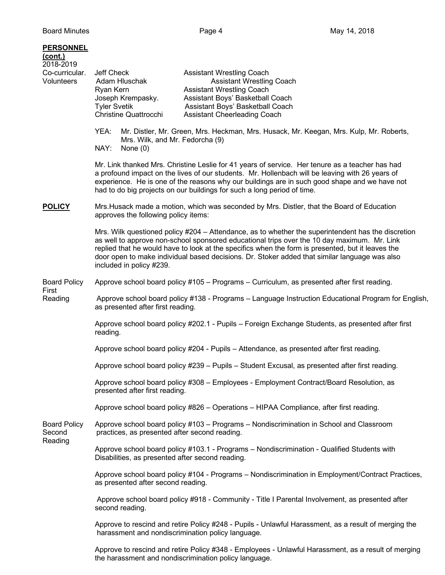| <b>PERSONNEL</b><br><u>(cont.)</u><br>2018-2019<br>Co-curricular.<br>Volunteers | Jeff Check<br><b>Assistant Wrestling Coach</b><br>Adam Hluschak<br><b>Assistant Wrestling Coach</b><br>Ryan Kern<br><b>Assistant Wrestling Coach</b><br>Joseph Krempasky.<br>Assistant Boys' Basketball Coach<br>Assistant Boys' Basketball Coach<br><b>Tyler Svetik</b><br><b>Christine Quattrocchi</b><br><b>Assistant Cheerleading Coach</b>                                                                                     |  |  |  |
|---------------------------------------------------------------------------------|-------------------------------------------------------------------------------------------------------------------------------------------------------------------------------------------------------------------------------------------------------------------------------------------------------------------------------------------------------------------------------------------------------------------------------------|--|--|--|
|                                                                                 | YEA:<br>Mr. Distler, Mr. Green, Mrs. Heckman, Mrs. Husack, Mr. Keegan, Mrs. Kulp, Mr. Roberts,<br>Mrs. Wilk, and Mr. Fedorcha (9)<br>NAY:<br>None $(0)$                                                                                                                                                                                                                                                                             |  |  |  |
|                                                                                 | Mr. Link thanked Mrs. Christine Leslie for 41 years of service. Her tenure as a teacher has had<br>a profound impact on the lives of our students. Mr. Hollenbach will be leaving with 26 years of<br>experience. He is one of the reasons why our buildings are in such good shape and we have not<br>had to do big projects on our buildings for such a long period of time.                                                      |  |  |  |
| <b>POLICY</b>                                                                   | Mrs. Husack made a motion, which was seconded by Mrs. Distler, that the Board of Education<br>approves the following policy items:                                                                                                                                                                                                                                                                                                  |  |  |  |
|                                                                                 | Mrs. Wilk questioned policy #204 – Attendance, as to whether the superintendent has the discretion<br>as well to approve non-school sponsored educational trips over the 10 day maximum. Mr. Link<br>replied that he would have to look at the specifics when the form is presented, but it leaves the<br>door open to make individual based decisions. Dr. Stoker added that similar language was also<br>included in policy #239. |  |  |  |
| <b>Board Policy</b><br>First                                                    | Approve school board policy #105 - Programs - Curriculum, as presented after first reading.                                                                                                                                                                                                                                                                                                                                         |  |  |  |
| Reading                                                                         | Approve school board policy #138 - Programs - Language Instruction Educational Program for English,<br>as presented after first reading.                                                                                                                                                                                                                                                                                            |  |  |  |
|                                                                                 | Approve school board policy #202.1 - Pupils - Foreign Exchange Students, as presented after first<br>reading.                                                                                                                                                                                                                                                                                                                       |  |  |  |
|                                                                                 | Approve school board policy #204 - Pupils - Attendance, as presented after first reading.                                                                                                                                                                                                                                                                                                                                           |  |  |  |
|                                                                                 | Approve school board policy #239 - Pupils - Student Excusal, as presented after first reading.                                                                                                                                                                                                                                                                                                                                      |  |  |  |
|                                                                                 | Approve school board policy #308 - Employees - Employment Contract/Board Resolution, as<br>presented after first reading.                                                                                                                                                                                                                                                                                                           |  |  |  |
|                                                                                 | Approve school board policy #826 – Operations – HIPAA Compliance, after first reading.                                                                                                                                                                                                                                                                                                                                              |  |  |  |
| <b>Board Policy</b><br>Second<br>Reading                                        | Approve school board policy #103 - Programs - Nondiscrimination in School and Classroom<br>practices, as presented after second reading.                                                                                                                                                                                                                                                                                            |  |  |  |
|                                                                                 | Approve school board policy #103.1 - Programs - Nondiscrimination - Qualified Students with<br>Disabilities, as presented after second reading.                                                                                                                                                                                                                                                                                     |  |  |  |
|                                                                                 | Approve school board policy #104 - Programs - Nondiscrimination in Employment/Contract Practices,<br>as presented after second reading.                                                                                                                                                                                                                                                                                             |  |  |  |
|                                                                                 | Approve school board policy #918 - Community - Title I Parental Involvement, as presented after<br>second reading.                                                                                                                                                                                                                                                                                                                  |  |  |  |
|                                                                                 | Approve to rescind and retire Policy #248 - Pupils - Unlawful Harassment, as a result of merging the<br>harassment and nondiscrimination policy language.                                                                                                                                                                                                                                                                           |  |  |  |
|                                                                                 | Approve to rescind and retire Policy #348 - Employees - Unlawful Harassment, as a result of merging                                                                                                                                                                                                                                                                                                                                 |  |  |  |

the harassment and nondiscrimination policy language.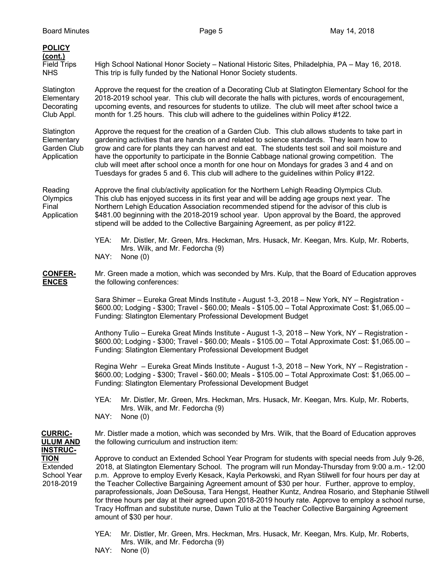| <b>POLICY</b><br><u>(cont.)</u>                        |                                                                                                                                                                                                                                                                                                                                                                                                                                                                                                                                                                                                                                                                                                                                                                |  |  |  |
|--------------------------------------------------------|----------------------------------------------------------------------------------------------------------------------------------------------------------------------------------------------------------------------------------------------------------------------------------------------------------------------------------------------------------------------------------------------------------------------------------------------------------------------------------------------------------------------------------------------------------------------------------------------------------------------------------------------------------------------------------------------------------------------------------------------------------------|--|--|--|
| <b>Field Trips</b><br><b>NHS</b>                       | High School National Honor Society - National Historic Sites, Philadelphia, PA - May 16, 2018.<br>This trip is fully funded by the National Honor Society students.                                                                                                                                                                                                                                                                                                                                                                                                                                                                                                                                                                                            |  |  |  |
| Slatington<br>Elementary<br>Decorating<br>Club Appl.   | Approve the request for the creation of a Decorating Club at Slatington Elementary School for the<br>2018-2019 school year. This club will decorate the halls with pictures, words of encouragement,<br>upcoming events, and resources for students to utilize. The club will meet after school twice a<br>month for 1.25 hours. This club will adhere to the guidelines within Policy #122.                                                                                                                                                                                                                                                                                                                                                                   |  |  |  |
| Slatington<br>Elementary<br>Garden Club<br>Application | Approve the request for the creation of a Garden Club. This club allows students to take part in<br>gardening activities that are hands on and related to science standards. They learn how to<br>grow and care for plants they can harvest and eat. The students test soil and soil moisture and<br>have the opportunity to participate in the Bonnie Cabbage national growing competition. The<br>club will meet after school once a month for one hour on Mondays for grades 3 and 4 and on<br>Tuesdays for grades 5 and 6. This club will adhere to the guidelines within Policy #122.                                                                                                                                                                     |  |  |  |
| Reading<br>Olympics<br>Final<br>Application            | Approve the final club/activity application for the Northern Lehigh Reading Olympics Club.<br>This club has enjoyed success in its first year and will be adding age groups next year. The<br>Northern Lehigh Education Association recommended stipend for the advisor of this club is<br>\$481.00 beginning with the 2018-2019 school year. Upon approval by the Board, the approved<br>stipend will be added to the Collective Bargaining Agreement, as per policy #122.                                                                                                                                                                                                                                                                                    |  |  |  |
|                                                        | YEA:<br>Mr. Distler, Mr. Green, Mrs. Heckman, Mrs. Husack, Mr. Keegan, Mrs. Kulp, Mr. Roberts,<br>Mrs. Wilk, and Mr. Fedorcha (9)<br>NAY:<br>None $(0)$                                                                                                                                                                                                                                                                                                                                                                                                                                                                                                                                                                                                        |  |  |  |
| <b>CONFER-</b><br><b>ENCES</b>                         | Mr. Green made a motion, which was seconded by Mrs. Kulp, that the Board of Education approves<br>the following conferences:                                                                                                                                                                                                                                                                                                                                                                                                                                                                                                                                                                                                                                   |  |  |  |
|                                                        | Sara Shimer - Eureka Great Minds Institute - August 1-3, 2018 - New York, NY - Registration -<br>\$600.00; Lodging - \$300; Travel - \$60.00; Meals - \$105.00 - Total Approximate Cost: \$1,065.00 -<br>Funding: Slatington Elementary Professional Development Budget                                                                                                                                                                                                                                                                                                                                                                                                                                                                                        |  |  |  |
|                                                        | Anthony Tulio - Eureka Great Minds Institute - August 1-3, 2018 - New York, NY - Registration -<br>\$600.00; Lodging - \$300; Travel - \$60.00; Meals - \$105.00 - Total Approximate Cost: \$1,065.00 -<br>Funding: Slatington Elementary Professional Development Budget                                                                                                                                                                                                                                                                                                                                                                                                                                                                                      |  |  |  |
|                                                        | Regina Wehr - Eureka Great Minds Institute - August 1-3, 2018 - New York, NY - Registration -<br>\$600.00; Lodging - \$300; Travel - \$60.00; Meals - \$105.00 - Total Approximate Cost: \$1,065.00 -<br>Funding: Slatington Elementary Professional Development Budget                                                                                                                                                                                                                                                                                                                                                                                                                                                                                        |  |  |  |
|                                                        | YEA:<br>Mr. Distler, Mr. Green, Mrs. Heckman, Mrs. Husack, Mr. Keegan, Mrs. Kulp, Mr. Roberts,<br>Mrs. Wilk, and Mr. Fedorcha (9)<br>NAY:<br>None $(0)$                                                                                                                                                                                                                                                                                                                                                                                                                                                                                                                                                                                                        |  |  |  |
| <b>CURRIC-</b><br><b>ULUM AND</b><br><b>INSTRUC-</b>   | Mr. Distler made a motion, which was seconded by Mrs. Wilk, that the Board of Education approves<br>the following curriculum and instruction item:                                                                                                                                                                                                                                                                                                                                                                                                                                                                                                                                                                                                             |  |  |  |
| <b>TION</b><br>Extended<br>School Year<br>2018-2019    | Approve to conduct an Extended School Year Program for students with special needs from July 9-26,<br>2018, at Slatington Elementary School. The program will run Monday-Thursday from 9:00 a.m.- 12:00<br>p.m. Approve to employ Everly Kesack, Kayla Perkowski, and Ryan Stilwell for four hours per day at<br>the Teacher Collective Bargaining Agreement amount of \$30 per hour. Further, approve to employ,<br>paraprofessionals, Joan DeSousa, Tara Hengst, Heather Kuntz, Andrea Rosario, and Stephanie Stilwell<br>for three hours per day at their agreed upon 2018-2019 hourly rate. Approve to employ a school nurse,<br>Tracy Hoffman and substitute nurse, Dawn Tulio at the Teacher Collective Bargaining Agreement<br>amount of \$30 per hour. |  |  |  |
|                                                        |                                                                                                                                                                                                                                                                                                                                                                                                                                                                                                                                                                                                                                                                                                                                                                |  |  |  |

- YEA: Mr. Distler, Mr. Green, Mrs. Heckman, Mrs. Husack, Mr. Keegan, Mrs. Kulp, Mr. Roberts, Mrs. Wilk, and Mr. Fedorcha (9)
- NAY: None (0)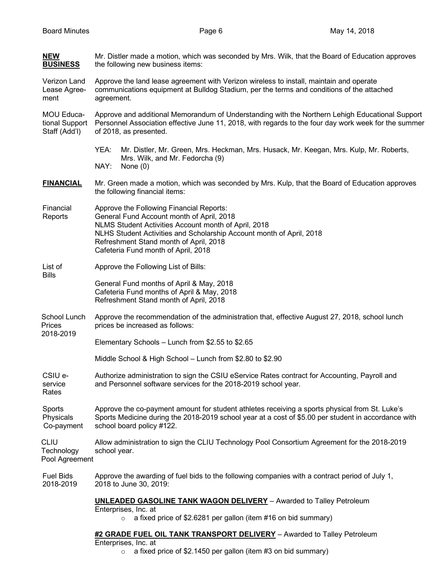| <b>NEW</b><br><b>BUSINESS</b>                 | Mr. Distler made a motion, which was seconded by Mrs. Wilk, that the Board of Education approves<br>the following new business items:                                                                                                                                                                  |  |  |  |
|-----------------------------------------------|--------------------------------------------------------------------------------------------------------------------------------------------------------------------------------------------------------------------------------------------------------------------------------------------------------|--|--|--|
| Verizon Land<br>Lease Agree-<br>ment          | Approve the land lease agreement with Verizon wireless to install, maintain and operate<br>communications equipment at Bulldog Stadium, per the terms and conditions of the attached<br>agreement.                                                                                                     |  |  |  |
| MOU Educa-<br>tional Support<br>Staff (Add'l) | Approve and additional Memorandum of Understanding with the Northern Lehigh Educational Support<br>Personnel Association effective June 11, 2018, with regards to the four day work week for the summer<br>of 2018, as presented.                                                                      |  |  |  |
|                                               | YEA:<br>Mr. Distler, Mr. Green, Mrs. Heckman, Mrs. Husack, Mr. Keegan, Mrs. Kulp, Mr. Roberts,<br>Mrs. Wilk, and Mr. Fedorcha (9)<br>NAY:<br>None $(0)$                                                                                                                                                |  |  |  |
| <b>FINANCIAL</b>                              | Mr. Green made a motion, which was seconded by Mrs. Kulp, that the Board of Education approves<br>the following financial items:                                                                                                                                                                       |  |  |  |
| Financial<br>Reports                          | Approve the Following Financial Reports:<br>General Fund Account month of April, 2018<br>NLMS Student Activities Account month of April, 2018<br>NLHS Student Activities and Scholarship Account month of April, 2018<br>Refreshment Stand month of April, 2018<br>Cafeteria Fund month of April, 2018 |  |  |  |
| List of<br><b>Bills</b>                       | Approve the Following List of Bills:                                                                                                                                                                                                                                                                   |  |  |  |
|                                               | General Fund months of April & May, 2018<br>Cafeteria Fund months of April & May, 2018<br>Refreshment Stand month of April, 2018                                                                                                                                                                       |  |  |  |
| School Lunch<br><b>Prices</b><br>2018-2019    | Approve the recommendation of the administration that, effective August 27, 2018, school lunch<br>prices be increased as follows:                                                                                                                                                                      |  |  |  |
|                                               | Elementary Schools - Lunch from \$2.55 to \$2.65                                                                                                                                                                                                                                                       |  |  |  |
|                                               | Middle School & High School - Lunch from \$2.80 to \$2.90                                                                                                                                                                                                                                              |  |  |  |
| CSIU e-<br>service<br>Rates                   | Authorize administration to sign the CSIU eService Rates contract for Accounting, Payroll and<br>and Personnel software services for the 2018-2019 school year.                                                                                                                                        |  |  |  |
| Sports<br>Physicals<br>Co-payment             | Approve the co-payment amount for student athletes receiving a sports physical from St. Luke's<br>Sports Medicine during the 2018-2019 school year at a cost of \$5.00 per student in accordance with<br>school board policy #122.                                                                     |  |  |  |
| <b>CLIU</b><br>Technology<br>Pool Agreement   | Allow administration to sign the CLIU Technology Pool Consortium Agreement for the 2018-2019<br>school year.                                                                                                                                                                                           |  |  |  |
| <b>Fuel Bids</b><br>2018-2019                 | Approve the awarding of fuel bids to the following companies with a contract period of July 1,<br>2018 to June 30, 2019:                                                                                                                                                                               |  |  |  |
|                                               | <b>UNLEADED GASOLINE TANK WAGON DELIVERY</b> - Awarded to Talley Petroleum<br>Enterprises, Inc. at<br>a fixed price of \$2.6281 per gallon (item #16 on bid summary)<br>$\circ$                                                                                                                        |  |  |  |
|                                               | #2 GRADE FUEL OIL TANK TRANSPORT DELIVERY - Awarded to Talley Petroleum<br>Enterprises, Inc. at                                                                                                                                                                                                        |  |  |  |

 $\circ$  a fixed price of \$2.1450 per gallon (item #3 on bid summary)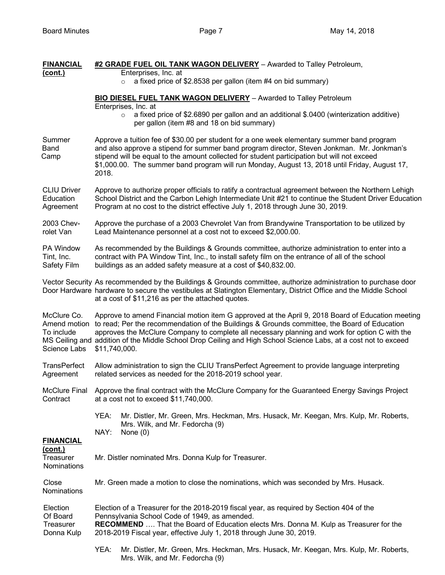| <b>FINANCIAL</b>                                                                                                                                                                                                                                                                       | #2 GRADE FUEL OIL TANK WAGON DELIVERY - Awarded to Talley Petroleum,                                                                                                                                                                                                                                                                                                                                                                    |  |
|----------------------------------------------------------------------------------------------------------------------------------------------------------------------------------------------------------------------------------------------------------------------------------------|-----------------------------------------------------------------------------------------------------------------------------------------------------------------------------------------------------------------------------------------------------------------------------------------------------------------------------------------------------------------------------------------------------------------------------------------|--|
| (cont.)                                                                                                                                                                                                                                                                                | Enterprises, Inc. at<br>a fixed price of \$2.8538 per gallon (item #4 on bid summary)                                                                                                                                                                                                                                                                                                                                                   |  |
|                                                                                                                                                                                                                                                                                        | BIO DIESEL FUEL TANK WAGON DELIVERY - Awarded to Talley Petroleum                                                                                                                                                                                                                                                                                                                                                                       |  |
|                                                                                                                                                                                                                                                                                        | Enterprises, Inc. at<br>a fixed price of \$2.6890 per gallon and an additional \$.0400 (winterization additive)<br>$\circ$<br>per gallon (item #8 and 18 on bid summary)                                                                                                                                                                                                                                                                |  |
| Summer<br><b>Band</b><br>Camp                                                                                                                                                                                                                                                          | Approve a tuition fee of \$30.00 per student for a one week elementary summer band program<br>and also approve a stipend for summer band program director, Steven Jonkman. Mr. Jonkman's<br>stipend will be equal to the amount collected for student participation but will not exceed<br>\$1,000.00. The summer band program will run Monday, August 13, 2018 until Friday, August 17,<br>2018.                                       |  |
| <b>CLIU Driver</b><br>Education<br>Agreement                                                                                                                                                                                                                                           | Approve to authorize proper officials to ratify a contractual agreement between the Northern Lehigh<br>School District and the Carbon Lehigh Intermediate Unit #21 to continue the Student Driver Education<br>Program at no cost to the district effective July 1, 2018 through June 30, 2019.                                                                                                                                         |  |
| 2003 Chev-<br>rolet Van                                                                                                                                                                                                                                                                | Approve the purchase of a 2003 Chevrolet Van from Brandywine Transportation to be utilized by<br>Lead Maintenance personnel at a cost not to exceed \$2,000.00.                                                                                                                                                                                                                                                                         |  |
| PA Window<br>Tint, Inc.<br>Safety Film                                                                                                                                                                                                                                                 | As recommended by the Buildings & Grounds committee, authorize administration to enter into a<br>contract with PA Window Tint, Inc., to install safety film on the entrance of all of the school<br>buildings as an added safety measure at a cost of \$40,832.00.                                                                                                                                                                      |  |
| Vector Security As recommended by the Buildings & Grounds committee, authorize administration to purchase door<br>Door Hardware hardware to secure the vestibules at Slatington Elementary, District Office and the Middle School<br>at a cost of \$11,216 as per the attached quotes. |                                                                                                                                                                                                                                                                                                                                                                                                                                         |  |
| McClure Co.<br>Amend motion<br>To include<br>Science Labs                                                                                                                                                                                                                              | Approve to amend Financial motion item G approved at the April 9, 2018 Board of Education meeting<br>to read; Per the recommendation of the Buildings & Grounds committee, the Board of Education<br>approves the McClure Company to complete all necessary planning and work for option C with the<br>MS Ceiling and addition of the Middle School Drop Ceiling and High School Science Labs, at a cost not to exceed<br>\$11,740,000. |  |
| <b>TransPerfect</b><br>Agreement                                                                                                                                                                                                                                                       | Allow administration to sign the CLIU TransPerfect Agreement to provide language interpreting<br>related services as needed for the 2018-2019 school year.<br>Approve the final contract with the McClure Company for the Guaranteed Energy Savings Project<br>at a cost not to exceed \$11,740,000.                                                                                                                                    |  |
| <b>McClure Final</b><br>Contract                                                                                                                                                                                                                                                       |                                                                                                                                                                                                                                                                                                                                                                                                                                         |  |
|                                                                                                                                                                                                                                                                                        | YEA:<br>Mr. Distler, Mr. Green, Mrs. Heckman, Mrs. Husack, Mr. Keegan, Mrs. Kulp, Mr. Roberts,<br>Mrs. Wilk, and Mr. Fedorcha (9)                                                                                                                                                                                                                                                                                                       |  |
| <b>FINANCIAL</b>                                                                                                                                                                                                                                                                       | NAY:<br>None $(0)$                                                                                                                                                                                                                                                                                                                                                                                                                      |  |
| <u>(cont.)</u><br>Treasurer<br>Nominations                                                                                                                                                                                                                                             | Mr. Distler nominated Mrs. Donna Kulp for Treasurer.                                                                                                                                                                                                                                                                                                                                                                                    |  |
| Close<br><b>Nominations</b>                                                                                                                                                                                                                                                            | Mr. Green made a motion to close the nominations, which was seconded by Mrs. Husack.<br>Election of a Treasurer for the 2018-2019 fiscal year, as required by Section 404 of the<br>Pennsylvania School Code of 1949, as amended.<br>RECOMMEND  That the Board of Education elects Mrs. Donna M. Kulp as Treasurer for the<br>2018-2019 Fiscal year, effective July 1, 2018 through June 30, 2019.                                      |  |
| Election<br>Of Board<br>Treasurer<br>Donna Kulp                                                                                                                                                                                                                                        |                                                                                                                                                                                                                                                                                                                                                                                                                                         |  |
|                                                                                                                                                                                                                                                                                        | YEA:<br>Mr. Distler, Mr. Green, Mrs. Heckman, Mrs. Husack, Mr. Keegan, Mrs. Kulp, Mr. Roberts,                                                                                                                                                                                                                                                                                                                                          |  |

Mrs. Wilk, and Mr. Fedorcha (9)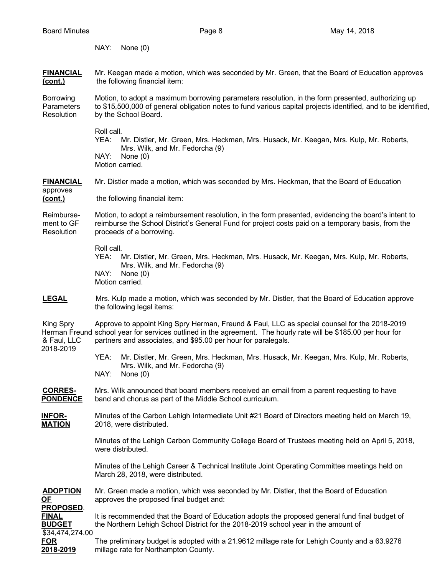NAY: None (0) **FINANCIAL** Mr. Keegan made a motion, which was seconded by Mr. Green, that the Board of Education approves **(cont.)** the following financial item: Borrowing Motion, to adopt a maximum borrowing parameters resolution, in the form presented, authorizing up Parameters to \$15,500,000 of general obligation notes to fund various capital projects identified, and to be identified, Resolution by the School Board. Roll call. YEA: Mr. Distler, Mr. Green, Mrs. Heckman, Mrs. Husack, Mr. Keegan, Mrs. Kulp, Mr. Roberts, Mrs. Wilk, and Mr. Fedorcha (9) NAY: None (0) Motion carried. **FINANCIAL** Mr. Distler made a motion, which was seconded by Mrs. Heckman, that the Board of Education approves **(cont.)** the following financial item: Reimburse- Motion, to adopt a reimbursement resolution, in the form presented, evidencing the board's intent to ment to GF reimburse the School District's General Fund for project costs paid on a temporary basis, from the Resolution proceeds of a borrowing. Roll call. YEA: Mr. Distler, Mr. Green, Mrs. Heckman, Mrs. Husack, Mr. Keegan, Mrs. Kulp, Mr. Roberts, Mrs. Wilk, and Mr. Fedorcha (9) NAY: None (0) Motion carried. **LEGAL** Mrs. Kulp made a motion, which was seconded by Mr. Distler, that the Board of Education approve the following legal items: King Spry Approve to appoint King Spry Herman, Freund & Faul, LLC as special counsel for the 2018-2019 Herman Freund school year for services outlined in the agreement. The hourly rate will be \$185.00 per hour for & Faul, LLC partners and associates, and \$95.00 per hour for paralegals. 2018-2019 YEA: Mr. Distler, Mr. Green, Mrs. Heckman, Mrs. Husack, Mr. Keegan, Mrs. Kulp, Mr. Roberts, Mrs. Wilk, and Mr. Fedorcha (9) NAY: None (0) **CORRES-** Mrs. Wilk announced that board members received an email from a parent requesting to have **PONDENCE** band and chorus as part of the Middle School curriculum. **INFOR-** Minutes of the Carbon Lehigh Intermediate Unit #21 Board of Directors meeting held on March 19, **MATION** 2018, were distributed. Minutes of the Lehigh Carbon Community College Board of Trustees meeting held on April 5, 2018, were distributed. Minutes of the Lehigh Career & Technical Institute Joint Operating Committee meetings held on March 28, 2018, were distributed. **ADOPTION** Mr. Green made a motion, which was seconded by Mr. Distler, that the Board of Education **OF** approves the proposed final budget and: **PROPOSED**. **FINAL** It is recommended that the Board of Education adopts the proposed general fund final budget of **BUDGET** the Northern Lehigh School District for the 2018-2019 school year in the amount of \$34,474,274.00

**FOR** The preliminary budget is adopted with a 21.9612 millage rate for Lehigh County and a 63.9276 **2018-2019** millage rate for Northampton County.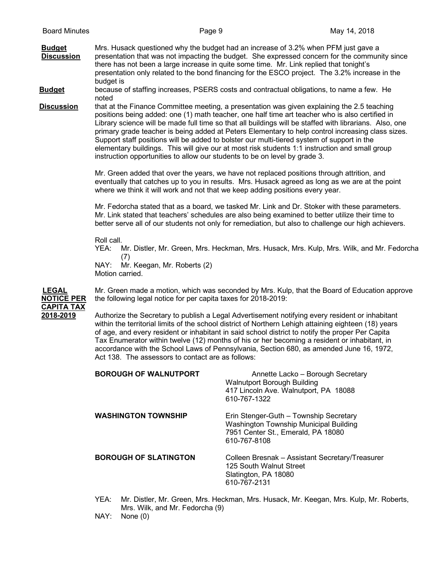**Budget** Mrs. Husack questioned why the budget had an increase of 3.2% when PFM just gave a **Discussion** presentation that was not impacting the budget. She expressed concern for the community since there has not been a large increase in quite some time. Mr. Link replied that tonight's presentation only related to the bond financing for the ESCO project. The 3.2% increase in the budget is

**Budget** because of staffing increases, PSERS costs and contractual obligations, to name a few. He noted

**Discussion** that at the Finance Committee meeting, a presentation was given explaining the 2.5 teaching positions being added: one (1) math teacher, one half time art teacher who is also certified in Library science will be made full time so that all buildings will be staffed with librarians. Also, one primary grade teacher is being added at Peters Elementary to help control increasing class sizes. Support staff positions will be added to bolster our multi-tiered system of support in the elementary buildings. This will give our at most risk students 1:1 instruction and small group instruction opportunities to allow our students to be on level by grade 3.

> Mr. Green added that over the years, we have not replaced positions through attrition, and eventually that catches up to you in results. Mrs. Husack agreed as long as we are at the point where we think it will work and not that we keep adding positions every year.

Mr. Fedorcha stated that as a board, we tasked Mr. Link and Dr. Stoker with these parameters. Mr. Link stated that teachers' schedules are also being examined to better utilize their time to better serve all of our students not only for remediation, but also to challenge our high achievers.

Roll call.<br>YEA: 1

Mr. Distler, Mr. Green, Mrs. Heckman, Mrs. Husack, Mrs. Kulp, Mrs. Wilk, and Mr. Fedorcha (7)

NAY: Mr. Keegan, Mr. Roberts (2) Motion carried.



**LEGAL** Mr. Green made a motion, which was seconded by Mrs. Kulp, that the Board of Education approve **NOTICE PER** the following legal notice for per capita taxes for 2018-2019:

> **2018-2019** Authorize the Secretary to publish a Legal Advertisement notifying every resident or inhabitant within the territorial limits of the school district of Northern Lehigh attaining eighteen (18) years of age, and every resident or inhabitant in said school district to notify the proper Per Capita Tax Enumerator within twelve (12) months of his or her becoming a resident or inhabitant, in accordance with the School Laws of Pennsylvania, Section 680, as amended June 16, 1972, Act 138. The assessors to contact are as follows:

| <b>BOROUGH OF WALNUTPORT</b> | Annette Lacko - Borough Secretary<br>Walnutport Borough Building<br>417 Lincoln Ave. Walnutport, PA 18088<br>610-767-1322              |
|------------------------------|----------------------------------------------------------------------------------------------------------------------------------------|
| <b>WASHINGTON TOWNSHIP</b>   | Erin Stenger-Guth - Township Secretary<br>Washington Township Municipal Building<br>7951 Center St., Emerald, PA 18080<br>610-767-8108 |
| <b>BOROUGH OF SLATINGTON</b> | Colleen Bresnak - Assistant Secretary/Treasurer<br>125 South Walnut Street<br>Slatington, PA 18080<br>610-767-2131                     |

- YEA: Mr. Distler, Mr. Green, Mrs. Heckman, Mrs. Husack, Mr. Keegan, Mrs. Kulp, Mr. Roberts, Mrs. Wilk, and Mr. Fedorcha (9)
- NAY: None (0)